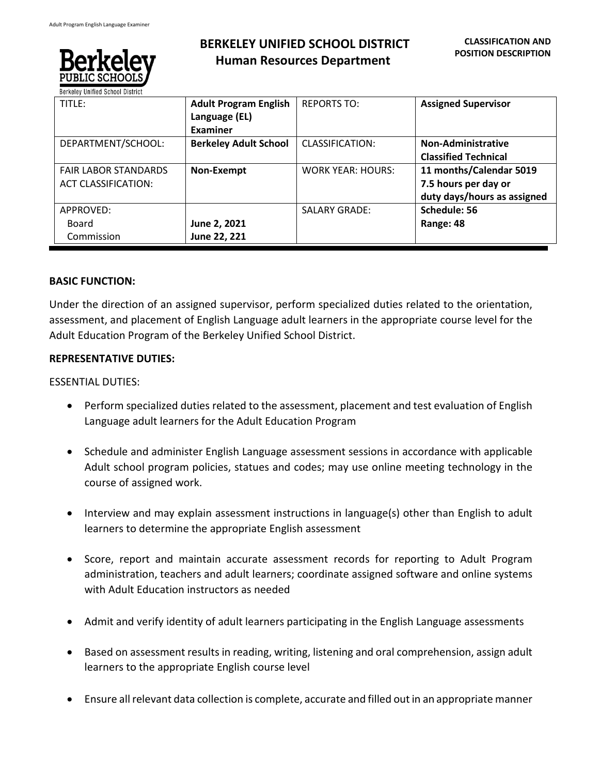

# **BERKELEY UNIFIED SCHOOL DISTRICT Human Resources Department**

| TITLE:                                                    | <b>Adult Program English</b><br>Language (EL)<br><b>Examiner</b> | <b>REPORTS TO:</b>       | <b>Assigned Supervisor</b>                                                     |
|-----------------------------------------------------------|------------------------------------------------------------------|--------------------------|--------------------------------------------------------------------------------|
| DEPARTMENT/SCHOOL:                                        | <b>Berkeley Adult School</b>                                     | <b>CLASSIFICATION:</b>   | <b>Non-Administrative</b><br><b>Classified Technical</b>                       |
| <b>FAIR LABOR STANDARDS</b><br><b>ACT CLASSIFICATION:</b> | Non-Exempt                                                       | <b>WORK YEAR: HOURS:</b> | 11 months/Calendar 5019<br>7.5 hours per day or<br>duty days/hours as assigned |
| APPROVED:<br>Board<br>Commission                          | June 2, 2021<br>June 22, 221                                     | <b>SALARY GRADE:</b>     | Schedule: 56<br>Range: 48                                                      |

#### **BASIC FUNCTION:**

Under the direction of an assigned supervisor, perform specialized duties related to the orientation, assessment, and placement of English Language adult learners in the appropriate course level for the Adult Education Program of the Berkeley Unified School District.

### **REPRESENTATIVE DUTIES:**

#### ESSENTIAL DUTIES:

- Perform specialized duties related to the assessment, placement and test evaluation of English Language adult learners for the Adult Education Program
- Schedule and administer English Language assessment sessions in accordance with applicable Adult school program policies, statues and codes; may use online meeting technology in the course of assigned work.
- Interview and may explain assessment instructions in language(s) other than English to adult learners to determine the appropriate English assessment
- Score, report and maintain accurate assessment records for reporting to Adult Program administration, teachers and adult learners; coordinate assigned software and online systems with Adult Education instructors as needed
- Admit and verify identity of adult learners participating in the English Language assessments
- Based on assessment results in reading, writing, listening and oral comprehension, assign adult learners to the appropriate English course level
- Ensure all relevant data collection is complete, accurate and filled out in an appropriate manner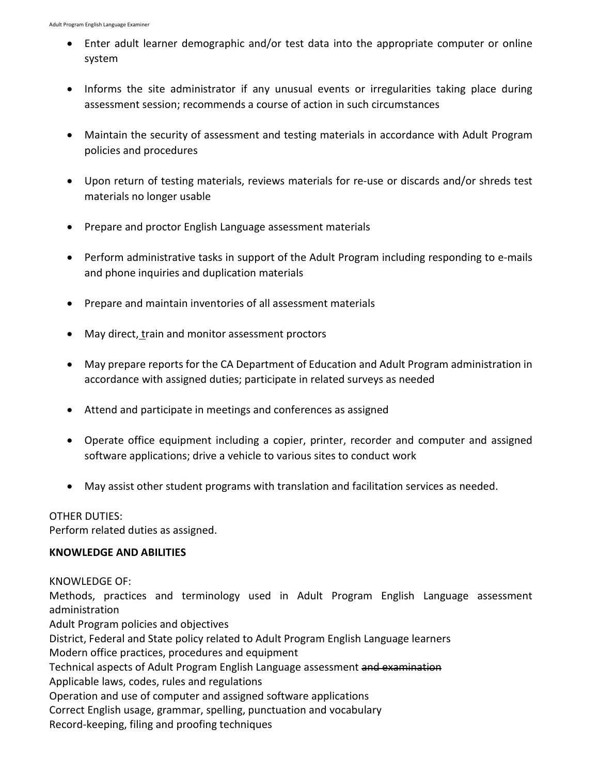- Enter adult learner demographic and/or test data into the appropriate computer or online system
- Informs the site administrator if any unusual events or irregularities taking place during assessment session; recommends a course of action in such circumstances
- Maintain the security of assessment and testing materials in accordance with Adult Program policies and procedures
- Upon return of testing materials, reviews materials for re-use or discards and/or shreds test materials no longer usable
- Prepare and proctor English Language assessment materials
- Perform administrative tasks in support of the Adult Program including responding to e-mails and phone inquiries and duplication materials
- Prepare and maintain inventories of all assessment materials
- May direct, train and monitor assessment proctors
- May prepare reports for the CA Department of Education and Adult Program administration in accordance with assigned duties; participate in related surveys as needed
- Attend and participate in meetings and conferences as assigned
- Operate office equipment including a copier, printer, recorder and computer and assigned software applications; drive a vehicle to various sites to conduct work
- May assist other student programs with translation and facilitation services as needed.

## OTHER DUTIES:

Perform related duties as assigned.

## **KNOWLEDGE AND ABILITIES**

## KNOWLEDGE OF:

Methods, practices and terminology used in Adult Program English Language assessment administration

Adult Program policies and objectives

District, Federal and State policy related to Adult Program English Language learners

Modern office practices, procedures and equipment

Technical aspects of Adult Program English Language assessment and examination

Applicable laws, codes, rules and regulations

Operation and use of computer and assigned software applications

Correct English usage, grammar, spelling, punctuation and vocabulary

Record-keeping, filing and proofing techniques